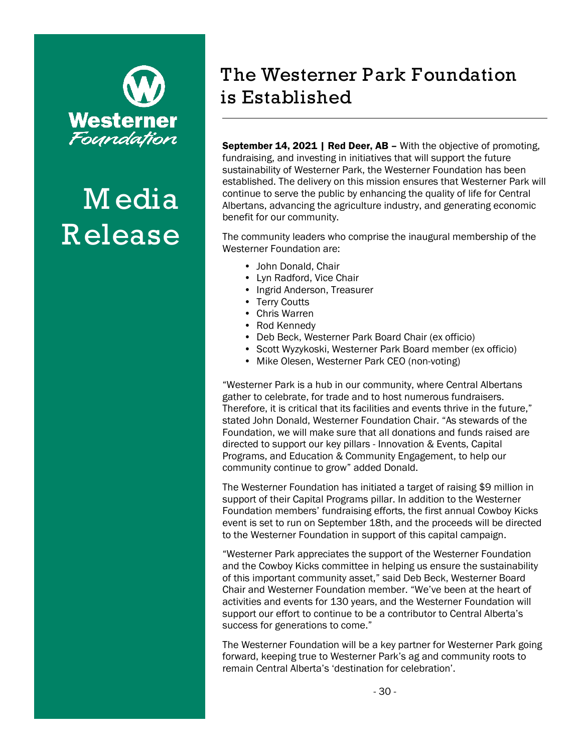

## **M edia R elease**

## **The Westerner Park Foundation is Established**

September 14, 2021 | Red Deer, AB - With the objective of promoting, fundraising, and investing in initiatives that will support the future sustainability of Westerner Park, the Westerner Foundation has been established. The delivery on this mission ensures that Westerner Park will continue to serve the public by enhancing the quality of life for Central Albertans, advancing the agriculture industry, and generating economic benefit for our community.

The community leaders who comprise the inaugural membership of the Westerner Foundation are:

- John Donald, Chair
- Lyn Radford, Vice Chair
- Ingrid Anderson, Treasurer
- Terry Coutts
- Chris Warren
- Rod Kennedy
- Deb Beck, Westerner Park Board Chair (ex officio)
- Scott Wyzykoski, Westerner Park Board member (ex officio)
- Mike Olesen, Westerner Park CEO (non-voting)

"Westerner Park is a hub in our community, where Central Albertans gather to celebrate, for trade and to host numerous fundraisers. Therefore, it is critical that its facilities and events thrive in the future," stated John Donald, Westerner Foundation Chair. "As stewards of the Foundation, we will make sure that all donations and funds raised are directed to support our key pillars - Innovation & Events, Capital Programs, and Education & Community Engagement, to help our community continue to grow" added Donald.

The Westerner Foundation has initiated a target of raising \$9 million in support of their Capital Programs pillar. In addition to the Westerner Foundation members' fundraising efforts, the first annual Cowboy Kicks event is set to run on September 18th, and the proceeds will be directed to the Westerner Foundation in support of this capital campaign.

"Westerner Park appreciates the support of the Westerner Foundation and the Cowboy Kicks committee in helping us ensure the sustainability of this important community asset," said Deb Beck, Westerner Board Chair and Westerner Foundation member. "We've been at the heart of activities and events for 130 years, and the Westerner Foundation will support our effort to continue to be a contributor to Central Alberta's success for generations to come."

The Westerner Foundation will be a key partner for Westerner Park going forward, keeping true to Westerner Park's ag and community roots to remain Central Alberta's 'destination for celebration'.